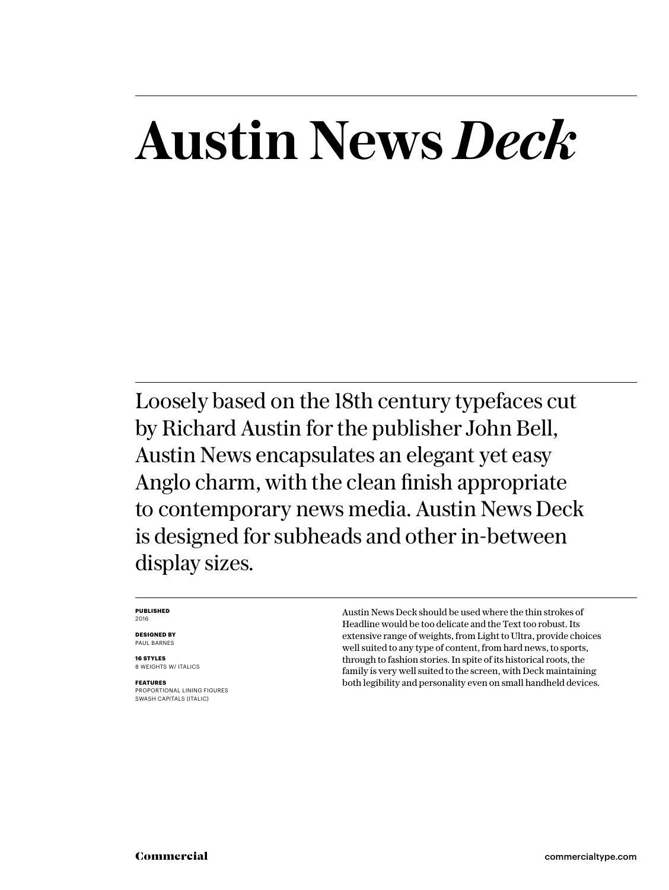# **Austin News** *Deck*

Loosely based on the 18th century typefaces cut by Richard Austin for the publisher John Bell, Austin News encapsulates an elegant yet easy Anglo charm, with the clean finish appropriate to contemporary news media. Austin News Deck is designed for subheads and other in-between display sizes.

#### **PUBLISHED** 2016

**DESIGNED BY** PAUL BARNES

**16 STYLES** 8 WEIGHTS W/ ITALICS

**FEATURES** PROPORTIONAL LINING FIGURES SWASH CAPITALS (ITALIC)

Austin News Deck should be used where the thin strokes of Headline would be too delicate and the Text too robust. Its extensive range of weights, from Light to Ultra, provide choices well suited to any type of content, from hard news, to sports, through to fashion stories. In spite of its historical roots, the family is very well suited to the screen, with Deck maintaining both legibility and personality even on small handheld devices.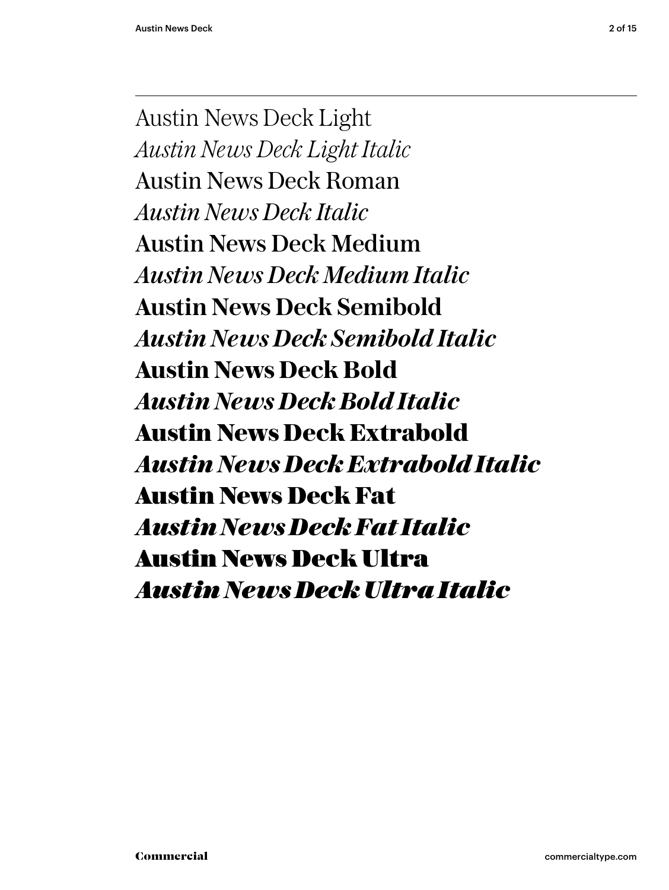Austin News Deck Light *Austin News Deck Light Italic* Austin News Deck Roman *Austin News Deck Italic* Austin News Deck Medium *Austin News Deck Medium Italic* **Austin News Deck Semibold** *Austin News Deck Semibold Italic* **Austin News Deck Bold** *Austin News Deck Bold Italic* **Austin News Deck Extrabold** *Austin News Deck Extrabold Italic* Austin News Deck Fat *Austin News Deck Fat Italic* Austin News Deck Ultra *Austin News Deck Ultra Italic*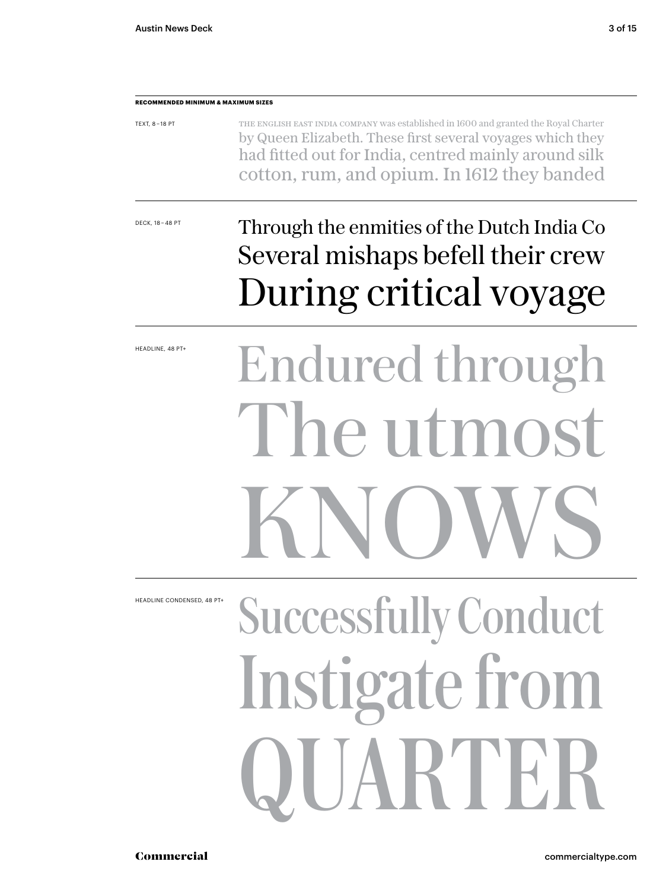#### **RECOMMENDED MINIMUM & MAXIMUM SIZES**

| TEXT, 8-18 PT | THE ENGLISH EAST INDIA COMPANY WAS established in 1600 and granted the Royal Charter |
|---------------|--------------------------------------------------------------------------------------|
|               | by Queen Elizabeth. These first several voyages which they                           |
|               | had fitted out for India, centred mainly around silk                                 |
|               | cotton, rum, and opium. In 1612 they banded                                          |

DECK, 18 – 48 PT

### Through the enmities of the Dutch India Co Several mishaps befell their crew During critical voyage

HEADLINE, 48 PT+

# Endured through The utmost KNOWS

HEADLINE CONDENSED, 48 PT-

# Successfully Conduct Instigate from QUARTER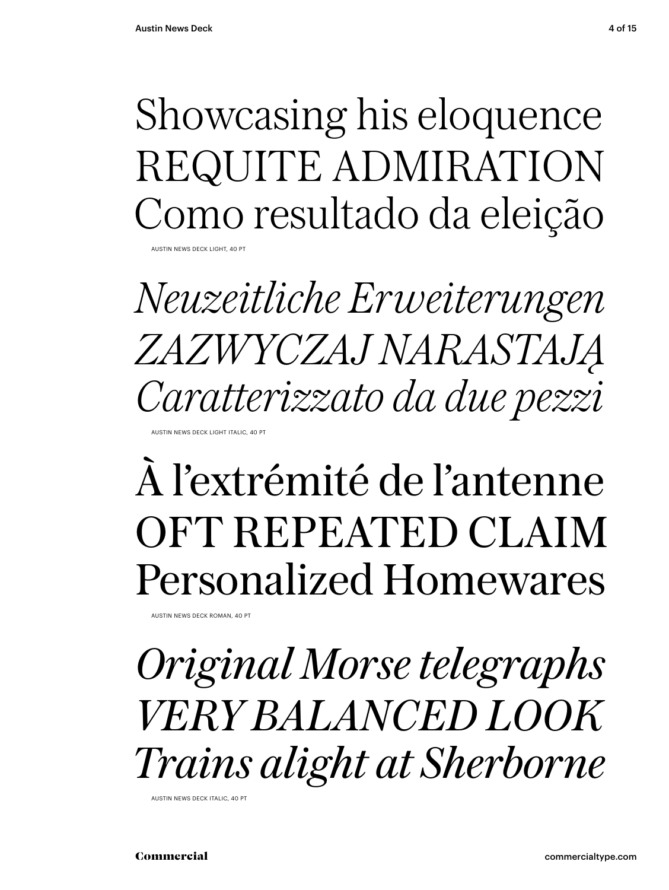## Showcasing his eloquence REQUITE ADMIRATION Como resultado da eleição

**AUSTIN NEWS DECK LIGHT, 40** 

*Neuzeitliche Erweiterungen ZAZWYCZAJ NARASTAJĄ Caratterizzato da due pezzi*

AUSTIN NEWS DECK LIGHT ITALIC, 40 PT

## À l'extrémité de l'antenne OFT REPEATED CLAIM Personalized Homewares

AUSTIN NEWS DECK ROMAN, 40 PT

*Original Morse telegraphs VERY BALANCED LOOK Trains alight at Sherborne*

AUSTIN NEWS DECK ITALIC, 40 PT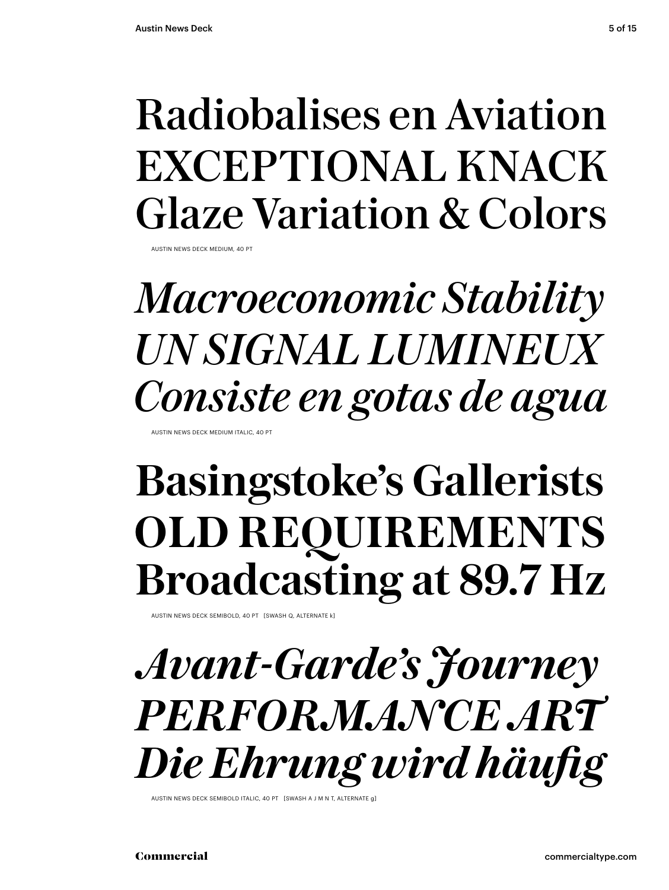## Radiobalises en Aviation EXCEPTIONAL KNACK Glaze Variation & Colors

AUSTIN NEWS DECK MEDIUM, 40 PT

## *Macroeconomic Stability UN SIGNAL LUMINEUX Consiste en gotas de agua*

AUSTIN NEWS DECK MEDIUM ITALIC, 40 P

## **Basingstoke's Gallerists OLD REQUIREMENTS Broadcasting at 89.7 Hz**

AUSTIN NEWS DECK SEMIBOLD, 40 PT [SWASH Q, ALTERNATE k]

*Avant-Garde's Journey PERFORMANCE ART Die Ehrung wird häufig*

AUSTIN NEWS DECK SEMIBOLD ITALIC, 40 PT [SWASH A J M N T, ALTERNATE g]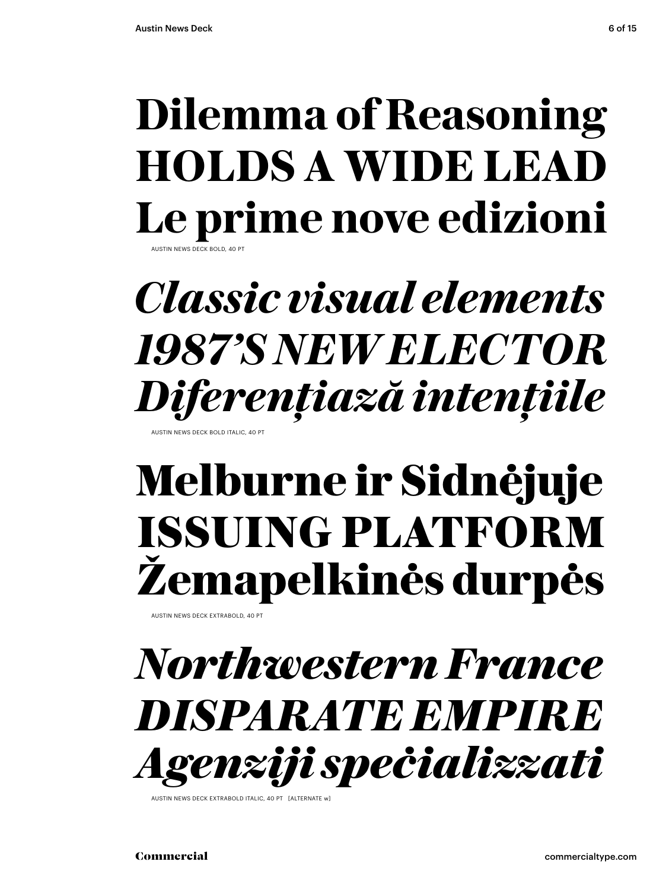## **Dilemma of Reasoning HOLDS A WIDE LEAD Le prime nove edizioni**

AUS DECK BOLD

## *Classic visual elements 1987'S NEW ELECTOR Diferențiază intențiile*

USTIN NEWS DECK BOLD ITALIC, 40 P

## **Melburne ir Sidnėjuje ISSUING PLATFORM Žemapelkinės durpės**

AUSTIN NEWS DECK EXTRABOLD, 40 PT

## *Northwestern France DISPARATE EMPIRE Agenziji speċializzati*

AUSTIN NEWS DECK EXTRABOLD ITALIC, 40 PT [ALTERNATE w]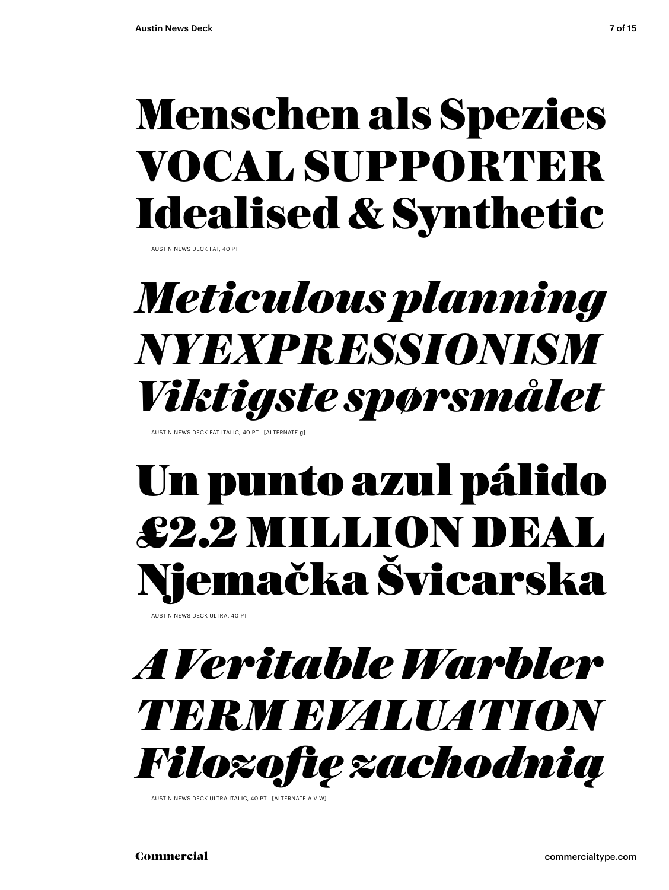## Menschen als Spezies VOCAL SUPPORTER Idealised & Synthetic

AUSTIN NEWS DECK FAT, 40 PT

## *Meticulous planning NYEXPRESSIONISM Viktigste spørsmålet*

AUSTIN NEWS DECK FAT ITALIC, 40 PT [ALTERNATE g]

## Un punto azul pálido £2.2 MILLION DEAL Njemačka Švicarska

AUSTIN NEWS DECK ULTRA, 40 PT



AUSTIN NEWS DECK ULTRA ITALIC, 40 PT [ALTERNATE A V W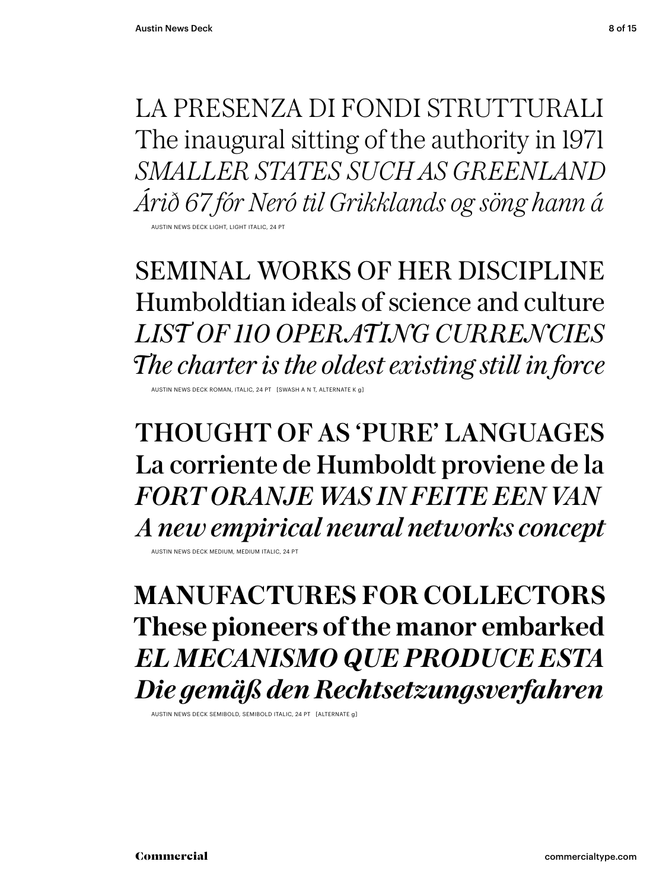LA PRESENZA DI FONDI STRUTTURALI The inaugural sitting of the authority in 1971 *SMALLER STATES SUCH AS GREENLAND Árið 67 fór Neró til Grikklands og söng hann á* AUSTIN NEWS DECK LIGHT, LIGHT ITALIC, 24 PT

SEMINAL WORKS OF HER DISCIPLINE Humboldtian ideals of science and culture *LIST OF 110 OPERATING CURRENCIES*

*The charter is the oldest existing still in force*

AUSTIN NEWS DECK ROMAN, ITALIC, 24 PT [SWASH A N T, ALTER

THOUGHT OF AS 'PURE' LANGUAGES La corriente de Humboldt proviene de la *FORT ORANJE WAS IN FEITE EEN VAN A new empirical neural networks concept*

AUSTIN NEWS DECK MEDIUM, MEDIUM ITALIC, 24 PT

**MANUFACTURES FOR COLLECTORS These pioneers of the manor embarked** *EL MECANISMO QUE PRODUCE ESTA Die gemäß den Rechtsetzungsverfahren*

AUSTIN NEWS DECK SEMIBOLD, SEMIBOLD ITALIC, 24 PT [ALTERNATE g]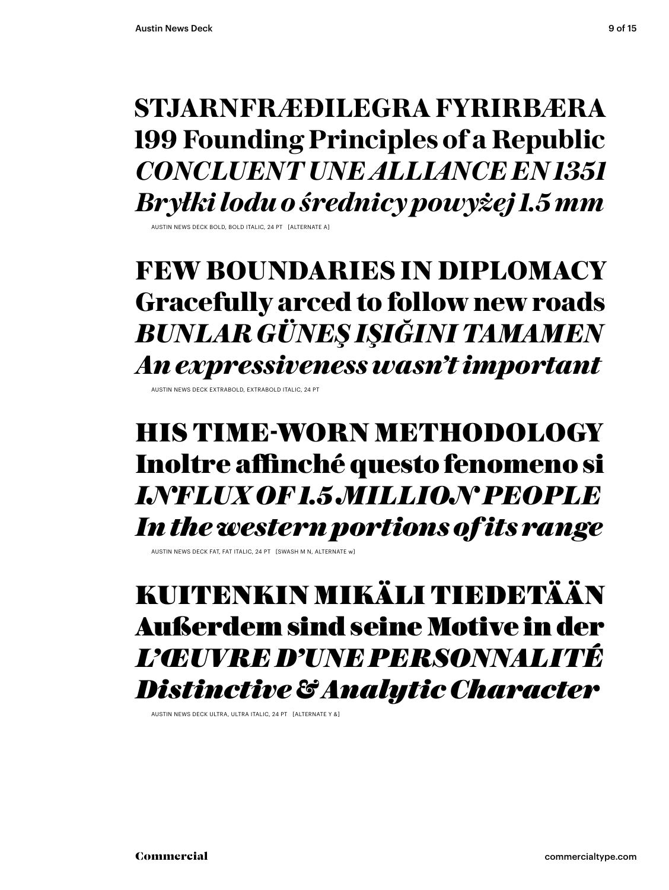### **STJARNFRÆÐILEGRA FYRIRBÆRA 199 Founding Principles of a Republic** *CONCLUENT UNE ALLIANCE EN 1351 Bryłki lodu o średnicy powyżej 1.5 mm*

AUSTIN NEWS DECK BOLD, BOLD ITALIC, 24 PT [ALTERNATE A]

### **FEW BOUNDARIES IN DIPLOMACY Gracefully arced to follow new roads** *BUNLAR GÜNEŞ IŞIĞINI TAMAMEN An expressiveness wasn't important*

AUSTIN NEWS DECK EXTRABOLD, EXTRABOLD ITALIC, 24

### HIS TIME-WORN METHODOLOGY Inoltre affinché questo fenomeno si *INFLUX OF 1.5 MILLION PEOPLE In the western portions of its range*

AUSTIN NEWS DECK FAT, FAT ITALIC, 24 PT [SWASH M N, ALTERNATE w]

### KUITENKIN MIKÄLI TIEDETÄÄN Außerdem sind seine Motive in der *L'ŒUVRE D'UNE PERSONNALITÉ Distinctive & Analytic Character*

AUSTIN NEWS DECK ULTRA, ULTRA ITALIC, 24 PT [ALTERNATE Y &]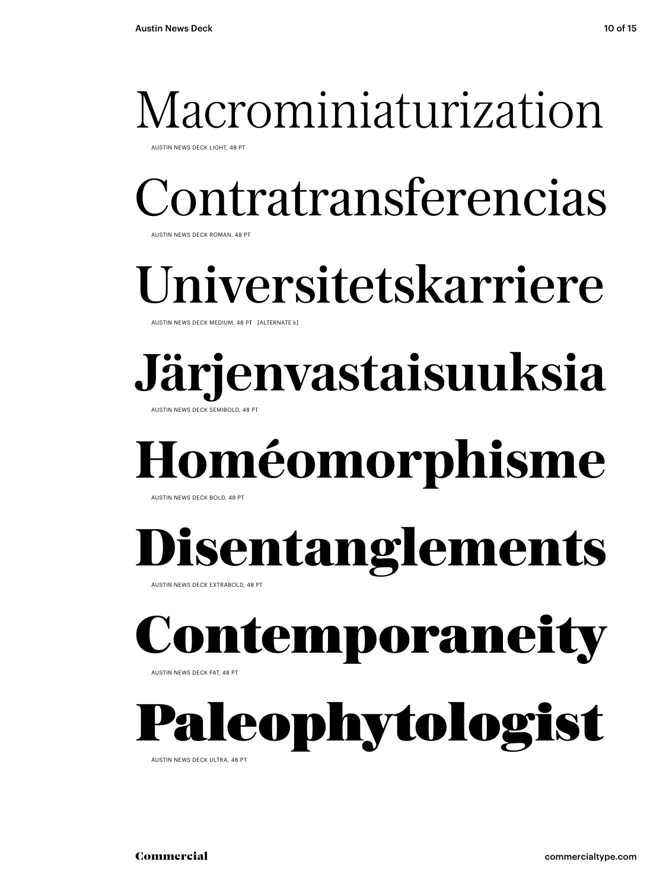## Macrominiaturization

AUSTIN NEWS DECK LIGHT, 48 PT

Contratransferencias

AUSTIN NEWS DECK ROMAN, 48 PT

## niversitetskarriere

AUSTIN NEWS DECK MEDIUM, 48 PT [ALTERNATE k]

### **Järjenvastaisuuksia AUSTIN NEWS DECK SEMIBOLD, 48 PT**

## **Homéomorphisme**

AUSTIN NEWS DECK BOLD, 48 PT

# **Disentanglements**

AUSTIN NEWS DECK EXTRABOLD, 48 PT

# Contemporanei

AUSTIN NEWS DECK FAT, 48 PT

# leophytologist

AUSTIN NEWS DECK ULTRA, 48 PT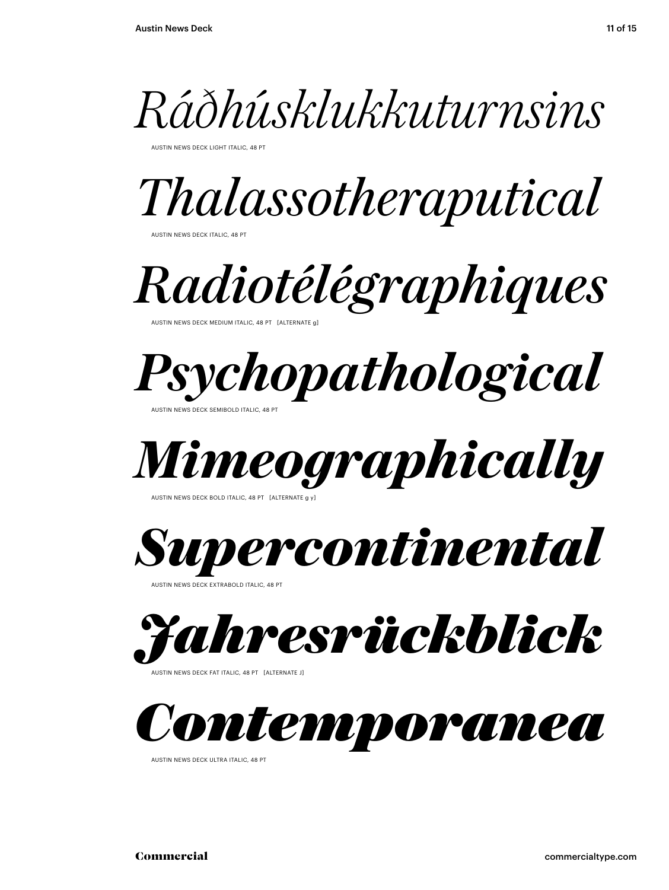

AUSTIN NEWS DECK LIGHT ITALIC, 48 PT

*Thalassotheraputical*

AUSTIN NEWS DECK ITALIC, 48 PT

*Radiotélégraphiques*

AUSTIN NEWS DECK MEDIUM ITALIC, 48 PT



AUSTIN NEWS DECK SEMIBOLD ITALIC, 48 PT



AUSTIN NEWS DECK BOLD ITALIC, 48 PT [ALTERNATE

*Supercontinental*

AUSTIN NEWS DECK EXTRABOLD ITALIC, 48 PT



AUSTIN NEWS DECK FAT ITALIC, 48 PT [ALTERNATE J]



AUSTIN NEWS DECK ULTRA ITALIC, 48 PT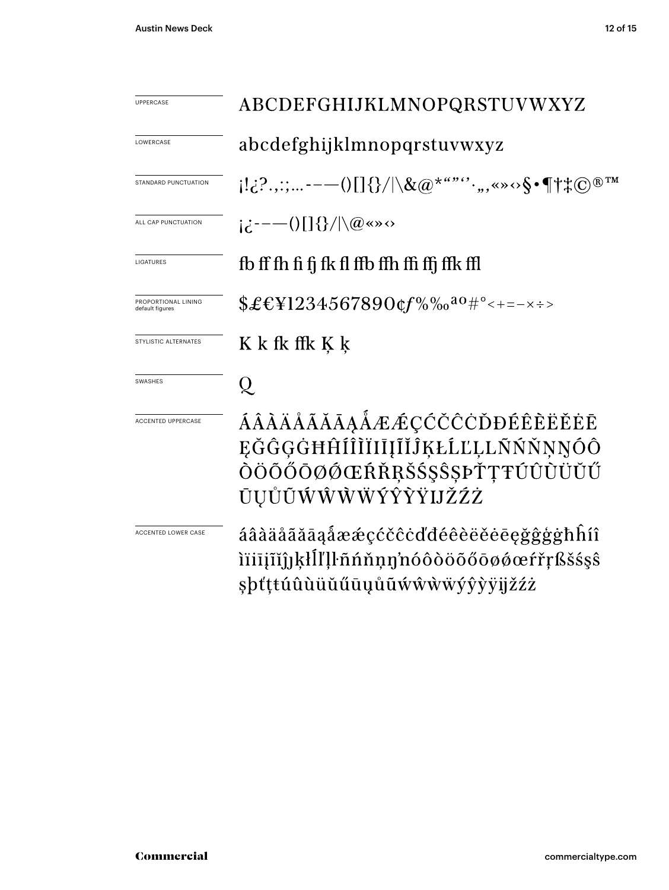| <b>UPPERCASE</b>                       | ABCDEFGHIJKLMNOPQRSTUVWXYZ                                                                                                                                                                                                                   |  |  |
|----------------------------------------|----------------------------------------------------------------------------------------------------------------------------------------------------------------------------------------------------------------------------------------------|--|--|
| LOWERCASE                              | abcdefghijklmnopqrstuvwxyz                                                                                                                                                                                                                   |  |  |
| STANDARD PUNCTUATION                   | $[1\cdot i\cdot ?\cdot ,: \cdot --\cup [\;]\{\}/ \backslash \&\textcircled{a}^{\star\cdot \cdot \cdot \cdot\cdot}\cdot ,\text{,}\text{ and }\text{``} \cdot \text{\$}\cdot \P\!\uparrow\text{*}\textcircled{c}^{\text{}}\text{''}^{\text{}}$ |  |  |
| ALL CAP PUNCTUATION                    | $i\partial$ : $\partial$ = $-(-1)$ $[$ $]$ $\{\}$ / $]\langle$ $\mathcal{Q}$ $\langle \infty \rangle$                                                                                                                                        |  |  |
| LIGATURES                              | fb ff fh fi fi fk fl ffb ffh ffi ffj ffk ffl                                                                                                                                                                                                 |  |  |
| PROPORTIONAL LINING<br>default figures | $$£EY1234567890$ cf%‰ <sup>ao</sup> #°<+=-×÷>                                                                                                                                                                                                |  |  |
| STYLISTIC ALTERNATES                   | K k fk ffk K k                                                                                                                                                                                                                               |  |  |
| <b>SWASHES</b>                         | Q                                                                                                                                                                                                                                            |  |  |
| <b>ACCENTED UPPERCASE</b>              | ÁÂÀÄÅÃĂĀĀĄÅÆÆÇĆČČČĎĐÉÊÈËĚĖĒ<br>EĞĜGĠĦĤÍÎÌĬIIIĨĬĴĶŁĹĽĻĿŇŃŇŅŅÓÔ<br>ÒÖŐŐŌØØŒŔŘŖŠŚŞŜŞÞŤŢŦÚÛÙÜŬŰ<br>ŪŲŮŨŴŴŴŴÝŶŶŸIJŽŹŻ                                                                                                                             |  |  |
| <b>ACCENTED LOWER CASE</b>             | áâàäåãăāąåææçćčĉċďđéêèëĕēęğĝģġħĥíî<br>ìïiījĩĭĵ]ķłĺľļŀñńňņŋ'nóôòöõőōøǿœŕřŗßšśşŝ<br>şþťţŧúûùüŭűūųůũẃŵẁẅýŷỳÿijžźż                                                                                                                               |  |  |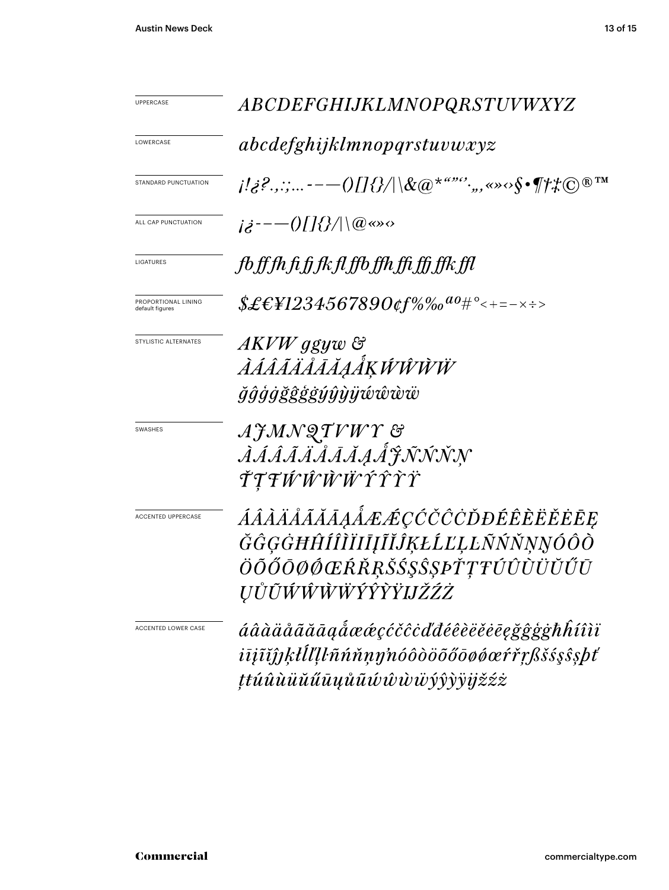| UPPERCASE                              |                                                                                                                                                                                                                                                                                                                                                                                                                                                    |  |  |
|----------------------------------------|----------------------------------------------------------------------------------------------------------------------------------------------------------------------------------------------------------------------------------------------------------------------------------------------------------------------------------------------------------------------------------------------------------------------------------------------------|--|--|
|                                        | <i>ABCDEFGHIJKLMNOPQRSTUVWXYZ</i>                                                                                                                                                                                                                                                                                                                                                                                                                  |  |  |
| LOWERCASE                              | abcdefghijklmnopqrstuvwxyz                                                                                                                                                                                                                                                                                                                                                                                                                         |  |  |
| STANDARD PUNCTUATION                   | $\{ \langle i_{\mathcal{S}}^{j_1}, \ldots \rangle \}_{j_{\mathcal{S}}^{j_{\mathcal{S}}}, \ldots}$ , $\{ \langle j_{\mathcal{S}}^{j_{\mathcal{S}}}\rangle \}_{j_{\mathcal{S}}^{j_{\mathcal{S}}}(\mathbb{R}^{N})}$ , $\langle j_{\mathcal{S}}^{j_{\mathcal{S}}}, \ldots \rangle \}_{j_{\mathcal{S}}^{j_{\mathcal{S}}}(\mathbb{R}^{N})}$ , $\langle j_{\mathcal{S}}^{j_{\mathcal{S}}}, \ldots \rangle \}_{j_{\mathcal{S}}^{j_{\mathcal{S}}}, \ldots}$ |  |  |
| ALL CAP PUNCTUATION                    | $i\dot{\delta}^{---}(0)[]\{\}/  \langle @<\rangle \circ$                                                                                                                                                                                                                                                                                                                                                                                           |  |  |
| LIGATURES                              | fb ff fh fi fj fk fl ffb ffh ffi ffj ffk ffl                                                                                                                                                                                                                                                                                                                                                                                                       |  |  |
| PROPORTIONAL LINING<br>default figures | $$ \pounds \pounds \pounds \pounds 1234567890$ of %% $^{a_0}$ # $^{\circ}$ < + = – $\times$ $\div$ >                                                                                                                                                                                                                                                                                                                                               |  |  |
| STYLISTIC ALTERNATES                   | AKVW ggyw &<br><i>ÀÁÂÃÄÅĀĂĄÅĶŴŴŴŴ</i><br><i>ğĝģġğĝģġýŷỳÿŵŵw</i>                                                                                                                                                                                                                                                                                                                                                                                    |  |  |
| <b>SWASHES</b>                         | AJMNQTVWY &<br><i>ÀÁÂÃÄÄĀĀĄÅ</i> J.N.N.N.N<br>ŤŢŦŴŴŴŴŶŶŶŸ                                                                                                                                                                                                                                                                                                                                                                                          |  |  |
| ACCENTED UPPERCASE                     | ÁÂÀÄÅÃĂĀĀĄÅÆÆÇĆČĊŎĐÉÊÈËËĒĘ<br>ĞĜĢĠĦĤÍÎÌĬIĪĮĨĬĴĶŁĹĽĻĿÑŃŇŅŊÓÔÒ<br>ÖÕŐŌØØŒŔŘŖŠŚŞŜŞÞŤŢŦÚÛÙÜŬŰŪ<br><i>UŮŨŴŴŴŴÝŶŶŸIJŽŹŻ</i>                                                                                                                                                                                                                                                                                                                              |  |  |
| ACCENTED LOWER CASE                    | áâàäåããāaaåææçćčĉċďđéêèëĕēegğĝģġħĥíîìï<br>iījīĭĵjķłĺľļŀñńňņŋ'nóôòöõőōøøœŕřŗßšśşŝşþť<br>ţŧúûùüŭűūųůũúŵŵẅÿŷỳÿįžźż                                                                                                                                                                                                                                                                                                                                    |  |  |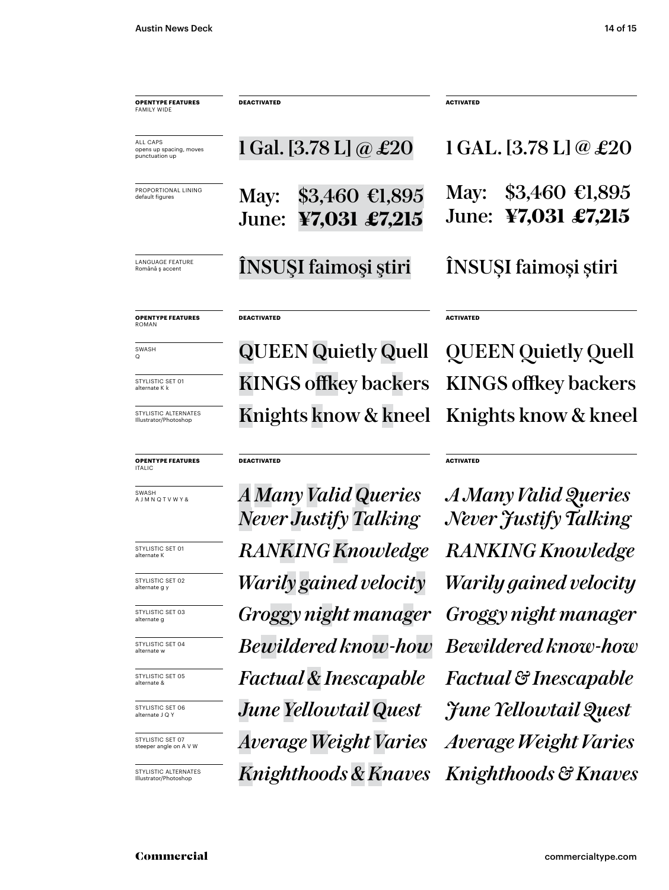| <b>OPENTYPE FEATURES</b><br><b>FAMILY WIDE</b>               | <b>DEACTIVATED</b>                               | <b>ACTIVATED</b>                               |
|--------------------------------------------------------------|--------------------------------------------------|------------------------------------------------|
| <b>ALL CAPS</b><br>opens up spacing, moves<br>punctuation up | 1 Gal. [3.78 L] @ $\pounds 20$                   | $1$ GAL. [3.78 L] @ £20                        |
| PROPORTIONAL LINING<br>default figures                       | \$3,460 €1,895<br>May:<br>¥7,031 £7,215<br>June: | $$3,460$ €1,895<br>May:<br>June: ¥7,031 £7,215 |
| <b>LANGUAGE FEATURE</b><br>Română ș accent                   | ÎNSUȘI faimoși știri                             | ÎNSUȘI faimoși știri                           |
| <b>OPENTYPE FEATURES</b><br><b>ROMAN</b>                     | <b>DEACTIVATED</b>                               | <b>ACTIVATED</b>                               |
| SWASH<br>O                                                   |                                                  | <b>QUEEN Quietly Quell</b> QUEEN Quietly Quell |
| STYLISTIC SET 01<br>alternate K k                            |                                                  | KINGS offkey backers KINGS offkey backers      |
| STYLISTIC ALTERNATES<br>Illustrator/Photoshop                |                                                  | Knights know & kneel Knights know & kneel      |

**ACTIVATED**

#### **OPENTYPE FEATURES**

**DEACTIVATED**

**ITALIC** 

SWASH A J M N Q T V W Y &

STYLISTIC SET 01 alternate K

STYLISTIC SET 02 alternate g y

STYLISTIC SET 03 alternate g

STYLISTIC SET 04 alternate w

STYLISTIC SET 05 alternate &

STYLISTIC SET 06 alternate J Q Y

STYLISTIC SET 07 steeper angle on A V W

STYLISTIC ALTERNATES Illustrator/Photoshop

*RANKING Knowledge Bewildered know-how Factual & Inescapable June Yellowtail Quest Average Weight Varies Knighthoods & Knaves Knighthoods & Knaves Groggy night manager Warily gained velocity Warily gained velocity A Many Valid Queries Never Justify Talking*

*Average Weight Varies Factual & Inescapable Bewildered know-how RANKING Knowledge A Many Valid Queries Never Justify Talking Groggy night manager June Yellowtail Quest*